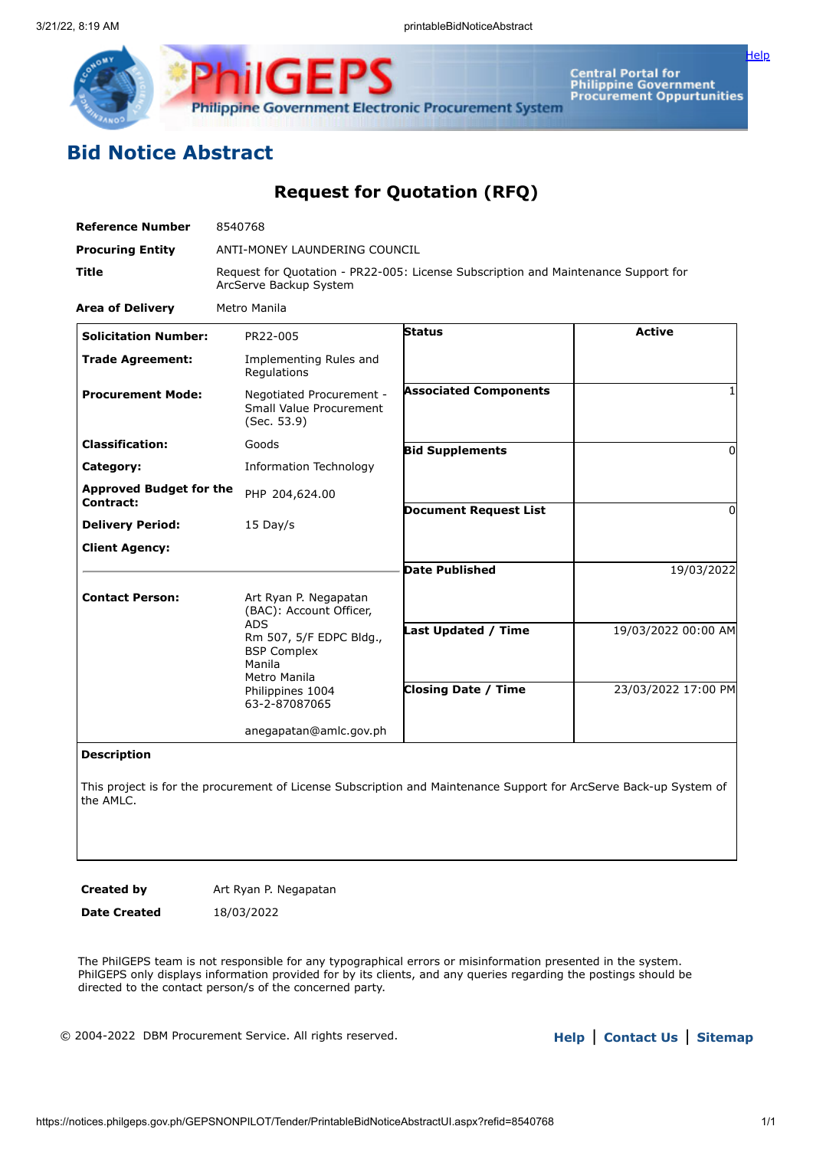

Central Portal for<br>Philippine Government<br>Procurement Oppurtunities

[Help](javascript:void(window.open()

# **Bid Notice Abstract**

## **Request for Quotation (RFQ)**

| <b>Reference Number</b>                     | 8540768                                                                                                      |                              |                     |  |  |  |  |
|---------------------------------------------|--------------------------------------------------------------------------------------------------------------|------------------------------|---------------------|--|--|--|--|
| <b>Procuring Entity</b>                     | ANTI-MONEY LAUNDERING COUNCIL                                                                                |                              |                     |  |  |  |  |
| <b>Title</b>                                | Request for Quotation - PR22-005: License Subscription and Maintenance Support for<br>ArcServe Backup System |                              |                     |  |  |  |  |
| <b>Area of Delivery</b>                     | Metro Manila                                                                                                 |                              |                     |  |  |  |  |
| <b>Solicitation Number:</b>                 | PR22-005                                                                                                     | <b>Status</b>                | <b>Active</b>       |  |  |  |  |
| <b>Trade Agreement:</b>                     | Implementing Rules and<br>Regulations                                                                        |                              |                     |  |  |  |  |
| <b>Procurement Mode:</b>                    | Negotiated Procurement -<br>Small Value Procurement<br>(Sec. 53.9)                                           | <b>Associated Components</b> |                     |  |  |  |  |
| <b>Classification:</b>                      | Goods                                                                                                        | <b>Bid Supplements</b>       | 0                   |  |  |  |  |
| Category:                                   | <b>Information Technology</b>                                                                                |                              |                     |  |  |  |  |
| <b>Approved Budget for the</b><br>Contract: | PHP 204,624.00                                                                                               |                              |                     |  |  |  |  |
| <b>Delivery Period:</b>                     | 15 Day/s                                                                                                     | <b>Document Request List</b> | 0                   |  |  |  |  |
| <b>Client Agency:</b>                       |                                                                                                              |                              |                     |  |  |  |  |
|                                             |                                                                                                              | <b>Date Published</b>        | 19/03/2022          |  |  |  |  |
| <b>Contact Person:</b>                      | Art Ryan P. Negapatan<br>(BAC): Account Officer,                                                             |                              |                     |  |  |  |  |
|                                             | <b>ADS</b><br>Rm 507, 5/F EDPC Bldg.,<br><b>BSP Complex</b><br>Manila                                        | Last Updated / Time          | 19/03/2022 00:00 AM |  |  |  |  |
|                                             | Metro Manila<br>Philippines 1004<br>63-2-87087065                                                            | <b>Closing Date / Time</b>   | 23/03/2022 17:00 PM |  |  |  |  |
|                                             | anegapatan@amlc.gov.ph                                                                                       |                              |                     |  |  |  |  |
| -------                                     |                                                                                                              |                              |                     |  |  |  |  |

**Description**

This project is for the procurement of License Subscription and Maintenance Support for ArcServe Back-up System of the AMLC.

**Created by** Art Ryan P. Negapatan

**Date Created** 18/03/2022

The PhilGEPS team is not responsible for any typographical errors or misinformation presented in the system. PhilGEPS only displays information provided for by its clients, and any queries regarding the postings should be directed to the contact person/s of the concerned party.

© 2004-2022 DBM Procurement Service. All rights reserved. **[Help](javascript:void(window.open()** | **Contact Us** | **[Sitemap](https://notices.philgeps.gov.ph/GEPSNONPILOT/Sitemap/Sitemap.aspx)**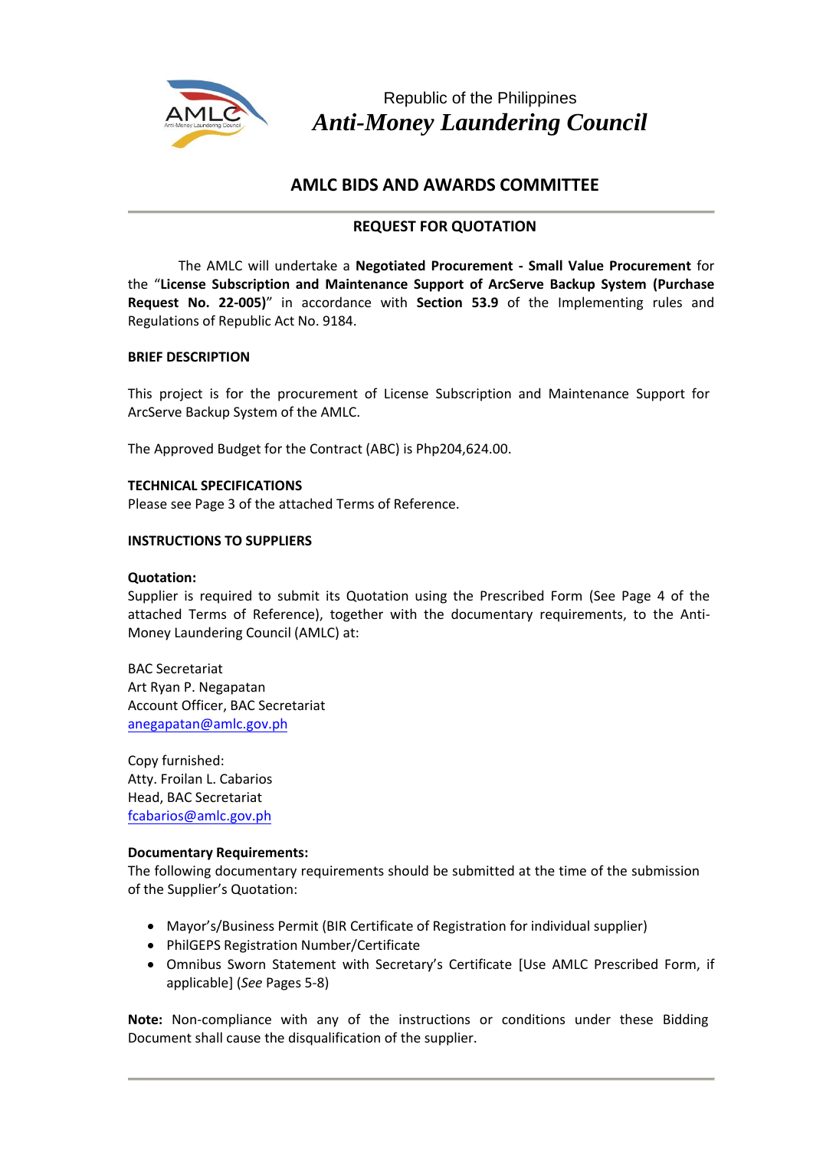

Republic of the Philippines *Anti-Money Laundering Council*

## **AMLC BIDS AND AWARDS COMMITTEE**

### **REQUEST FOR QUOTATION**

The AMLC will undertake a **Negotiated Procurement - Small Value Procurement** for the "**License Subscription and Maintenance Support of ArcServe Backup System (Purchase Request No. 22-005)**" in accordance with **Section 53.9** of the Implementing rules and Regulations of Republic Act No. 9184.

#### **BRIEF DESCRIPTION**

This project is for the procurement of License Subscription and Maintenance Support for ArcServe Backup System of the AMLC.

The Approved Budget for the Contract (ABC) is Php204,624.00.

#### **TECHNICAL SPECIFICATIONS**

Please see Page 3 of the attached Terms of Reference.

#### **INSTRUCTIONS TO SUPPLIERS**

#### **Quotation:**

Supplier is required to submit its Quotation using the Prescribed Form (See Page 4 of the attached Terms of Reference), together with the documentary requirements, to the Anti-Money Laundering Council (AMLC) at:

BAC Secretariat Art Ryan P. Negapatan Account Officer, BAC Secretariat anegapatan[@amlc.gov.](mailto:aladores@amlc.gov.ph)ph

Copy furnished: Atty. Froilan L. Cabarios Head, BAC Secretariat [fcabarios@amlc.gov.ph](mailto:fcabarios@amlc.gov.ph)

#### **Documentary Requirements:**

The following documentary requirements should be submitted at the time of the submission of the Supplier's Quotation:

- Mayor's/Business Permit (BIR Certificate of Registration for individual supplier)
- PhilGEPS Registration Number/Certificate
- Omnibus Sworn Statement with Secretary's Certificate [Use AMLC Prescribed Form, if applicable] (*See* Pages 5-8)

**Note:** Non-compliance with any of the instructions or conditions under these Bidding Document shall cause the disqualification of the supplier.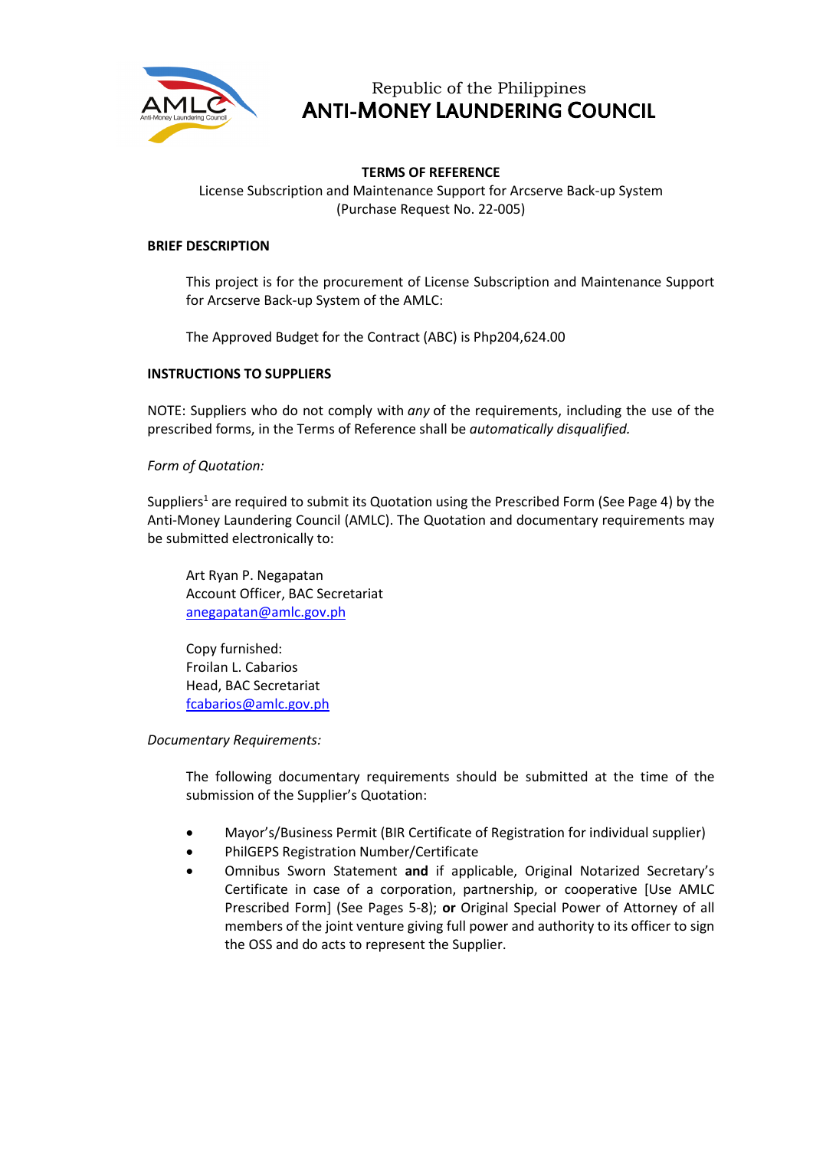

## Republic of the Philippines ANTI-MONEY LAUNDERING COUNCIL

#### **TERMS OF REFERENCE**

License Subscription and Maintenance Support for Arcserve Back-up System (Purchase Request No. 22-005)

#### **BRIEF DESCRIPTION**

This project is for the procurement of License Subscription and Maintenance Support for Arcserve Back-up System of the AMLC:

The Approved Budget for the Contract (ABC) is Php204,624.00

#### **INSTRUCTIONS TO SUPPLIERS**

NOTE: Suppliers who do not comply with *any* of the requirements, including the use of the prescribed forms, in the Terms of Reference shall be *automatically disqualified.*

#### *Form of Quotation:*

Suppliers<sup>1</sup> are required to submit its Quotation using the Prescribed Form (See Page 4) by the Anti-Money Laundering Council (AMLC). The Quotation and documentary requirements may be submitted electronically to:

Art Ryan P. Negapatan Account Officer, BAC Secretariat [anegapatan@amlc.gov.ph](mailto:anegapatan@amlc.gov.ph)

Copy furnished: Froilan L. Cabarios Head, BAC Secretariat [fcabarios@amlc.gov.ph](mailto:fcabarios@amlc.gov.ph)

*Documentary Requirements:*

The following documentary requirements should be submitted at the time of the submission of the Supplier's Quotation:

- Mayor's/Business Permit (BIR Certificate of Registration for individual supplier)
- PhilGEPS Registration Number/Certificate
- Omnibus Sworn Statement **and** if applicable, Original Notarized Secretary's Certificate in case of a corporation, partnership, or cooperative [Use AMLC Prescribed Form] (See Pages 5-8); **or** Original Special Power of Attorney of all members of the joint venture giving full power and authority to its officer to sign the OSS and do acts to represent the Supplier.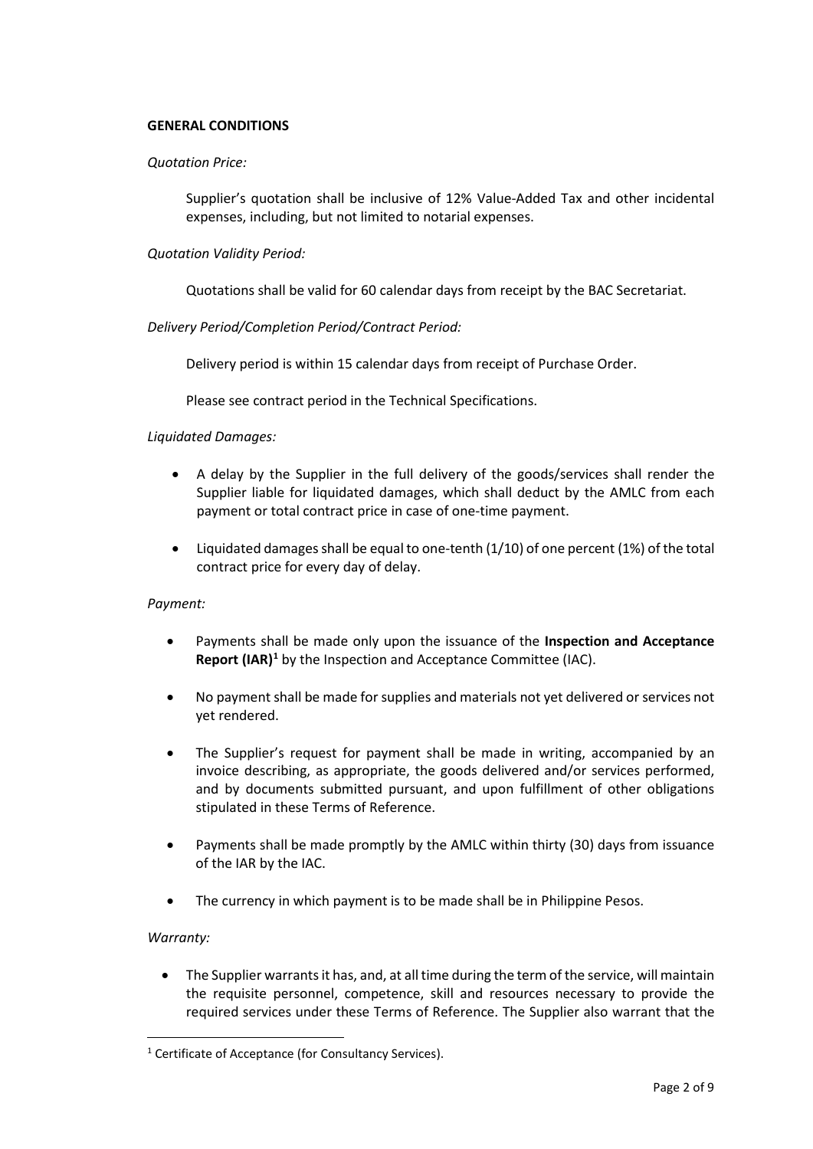#### **GENERAL CONDITIONS**

#### *Quotation Price:*

Supplier's quotation shall be inclusive of 12% Value-Added Tax and other incidental expenses, including, but not limited to notarial expenses.

#### *Quotation Validity Period:*

Quotations shall be valid for 60 calendar days from receipt by the BAC Secretariat.

*Delivery Period/Completion Period/Contract Period:*

Delivery period is within 15 calendar days from receipt of Purchase Order.

Please see contract period in the Technical Specifications.

#### *Liquidated Damages:*

- A delay by the Supplier in the full delivery of the goods/services shall render the Supplier liable for liquidated damages, which shall deduct by the AMLC from each payment or total contract price in case of one-time payment.
- Liquidated damages shall be equal to one-tenth (1/10) of one percent (1%) of the total contract price for every day of delay.

#### *Payment:*

- Payments shall be made only upon the issuance of the **Inspection and Acceptance Report (IAR)[1](#page-3-0)** by the Inspection and Acceptance Committee (IAC).
- No payment shall be made for supplies and materials not yet delivered or services not yet rendered.
- The Supplier's request for payment shall be made in writing, accompanied by an invoice describing, as appropriate, the goods delivered and/or services performed, and by documents submitted pursuant, and upon fulfillment of other obligations stipulated in these Terms of Reference.
- Payments shall be made promptly by the AMLC within thirty (30) days from issuance of the IAR by the IAC.
- The currency in which payment is to be made shall be in Philippine Pesos.

#### *Warranty:*

• The Supplier warrants it has, and, at all time during the term of the service, will maintain the requisite personnel, competence, skill and resources necessary to provide the required services under these Terms of Reference. The Supplier also warrant that the

<span id="page-3-0"></span><sup>&</sup>lt;sup>1</sup> Certificate of Acceptance (for Consultancy Services).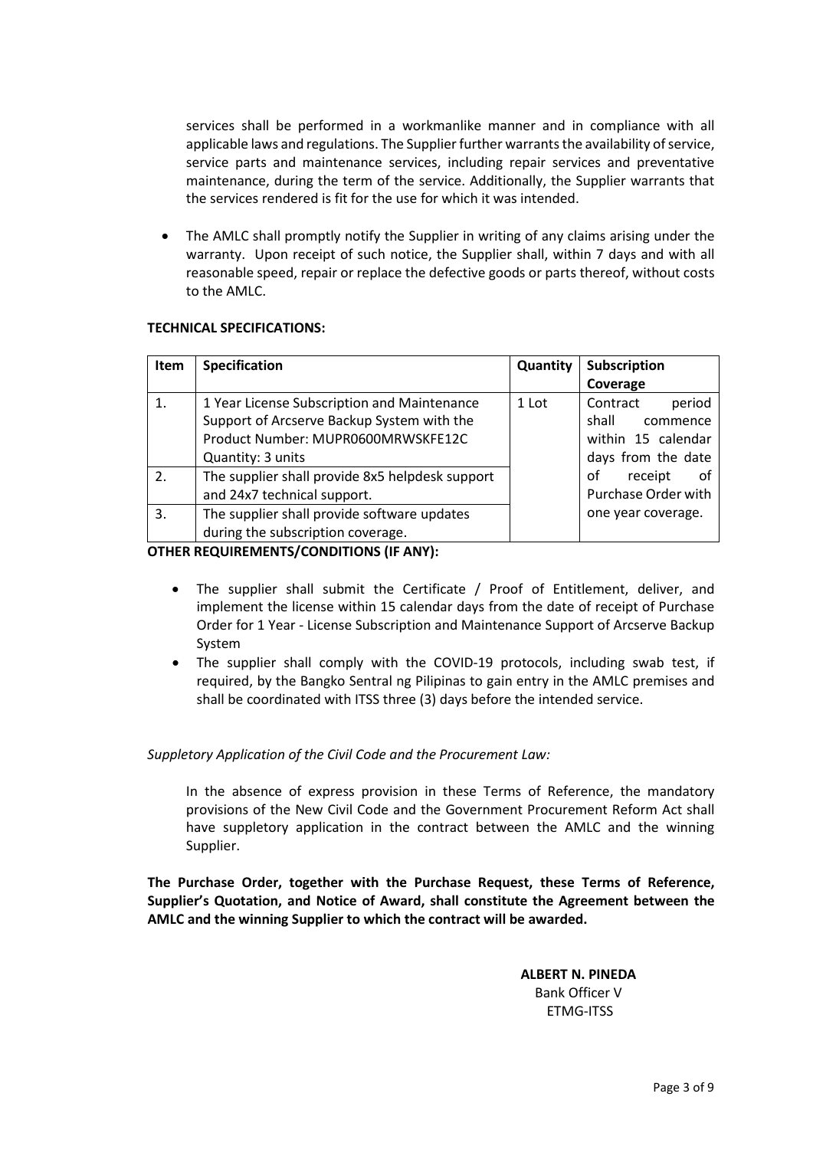services shall be performed in a workmanlike manner and in compliance with all applicable laws and regulations. The Supplier further warrants the availability of service, service parts and maintenance services, including repair services and preventative maintenance, during the term of the service. Additionally, the Supplier warrants that the services rendered is fit for the use for which it was intended.

• The AMLC shall promptly notify the Supplier in writing of any claims arising under the warranty. Upon receipt of such notice, the Supplier shall, within 7 days and with all reasonable speed, repair or replace the defective goods or parts thereof, without costs to the AMLC.

#### **TECHNICAL SPECIFICATIONS:**

| <b>Item</b> | <b>Specification</b>                                                                                                                                 | <b>Quantity</b> | Subscription<br>Coverage                                                            |
|-------------|------------------------------------------------------------------------------------------------------------------------------------------------------|-----------------|-------------------------------------------------------------------------------------|
|             | 1 Year License Subscription and Maintenance<br>Support of Arcserve Backup System with the<br>Product Number: MUPR0600MRWSKFE12C<br>Quantity: 3 units | 1 Lot           | Contract<br>period<br>shall<br>commence<br>within 15 calendar<br>days from the date |
| 2.<br>3.    | The supplier shall provide 8x5 helpdesk support<br>and 24x7 technical support.<br>The supplier shall provide software updates                        |                 | receipt<br>οf<br>of<br>Purchase Order with<br>one year coverage.                    |
|             | during the subscription coverage.                                                                                                                    |                 |                                                                                     |

**OTHER REQUIREMENTS/CONDITIONS (IF ANY):**

- The supplier shall submit the Certificate / Proof of Entitlement, deliver, and implement the license within 15 calendar days from the date of receipt of Purchase Order for 1 Year - License Subscription and Maintenance Support of Arcserve Backup System
- The supplier shall comply with the COVID-19 protocols, including swab test, if required, by the Bangko Sentral ng Pilipinas to gain entry in the AMLC premises and shall be coordinated with ITSS three (3) days before the intended service.

#### *Suppletory Application of the Civil Code and the Procurement Law:*

In the absence of express provision in these Terms of Reference, the mandatory provisions of the New Civil Code and the Government Procurement Reform Act shall have suppletory application in the contract between the AMLC and the winning Supplier.

**The Purchase Order, together with the Purchase Request, these Terms of Reference, Supplier's Quotation, and Notice of Award, shall constitute the Agreement between the AMLC and the winning Supplier to which the contract will be awarded.**

> **ALBERT N. PINEDA** Bank Officer V ETMG-ITSS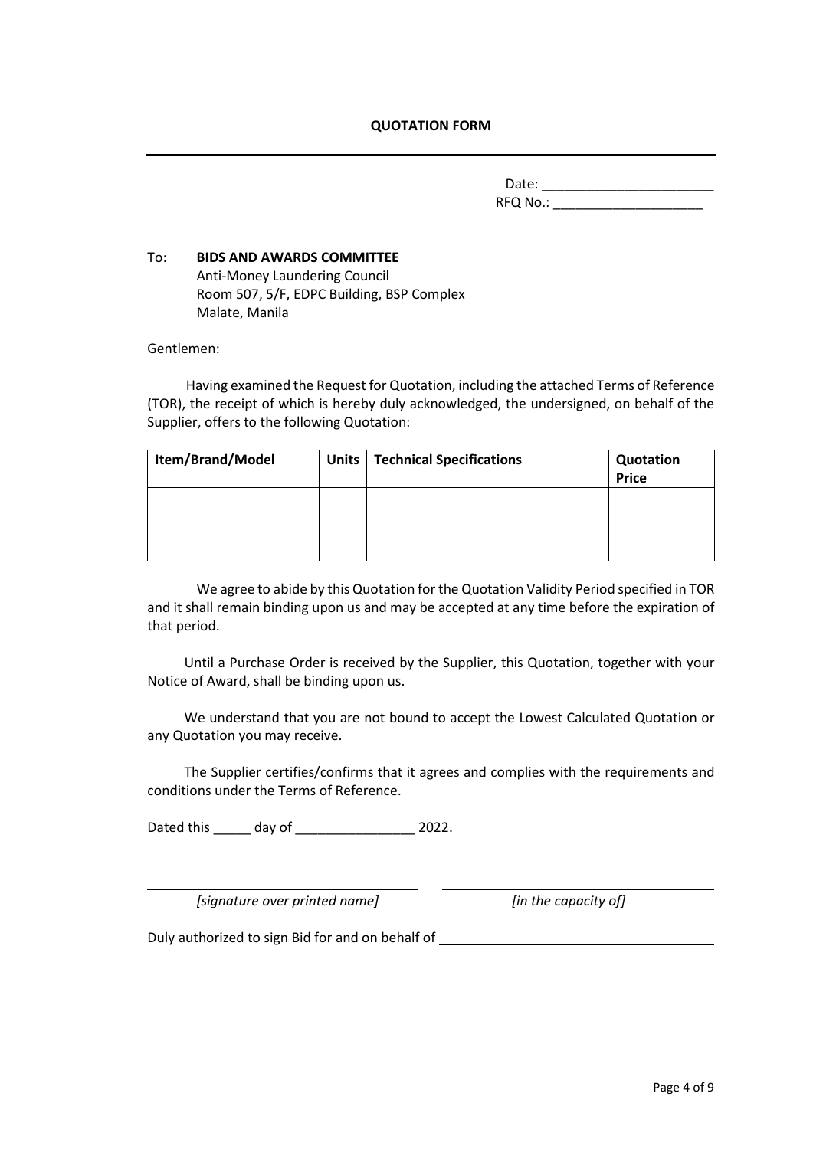#### **QUOTATION FORM**

Date: \_\_\_\_\_\_\_\_\_\_\_\_\_\_\_\_\_\_\_\_\_\_\_ RFQ No.: \_\_\_\_\_\_\_\_\_\_\_\_\_\_\_\_\_\_\_\_

#### To:**BIDS AND AWARDS COMMITTEE** Anti-Money Laundering Council Room 507, 5/F, EDPC Building, BSP Complex Malate, Manila

Gentlemen:

Having examined the Request for Quotation, including the attached Terms of Reference (TOR), the receipt of which is hereby duly acknowledged, the undersigned, on behalf of the Supplier, offers to the following Quotation:

| Item/Brand/Model | Units   Technical Specifications | Quotation<br><b>Price</b> |
|------------------|----------------------------------|---------------------------|
|                  |                                  |                           |
|                  |                                  |                           |

We agree to abide by this Quotation for the Quotation Validity Period specified in TOR and it shall remain binding upon us and may be accepted at any time before the expiration of that period.

Until a Purchase Order is received by the Supplier, this Quotation, together with your Notice of Award, shall be binding upon us.

We understand that you are not bound to accept the Lowest Calculated Quotation or any Quotation you may receive.

The Supplier certifies/confirms that it agrees and complies with the requirements and conditions under the Terms of Reference.

Dated this \_\_\_\_\_ day of \_\_\_\_\_\_\_\_\_\_\_\_\_\_\_\_ 2022.

*[signature over printed name] [in the capacity of]*

Duly authorized to sign Bid for and on behalf of \_\_\_\_\_\_\_\_\_\_\_\_\_\_\_\_\_\_\_\_\_\_\_\_\_\_\_\_\_\_\_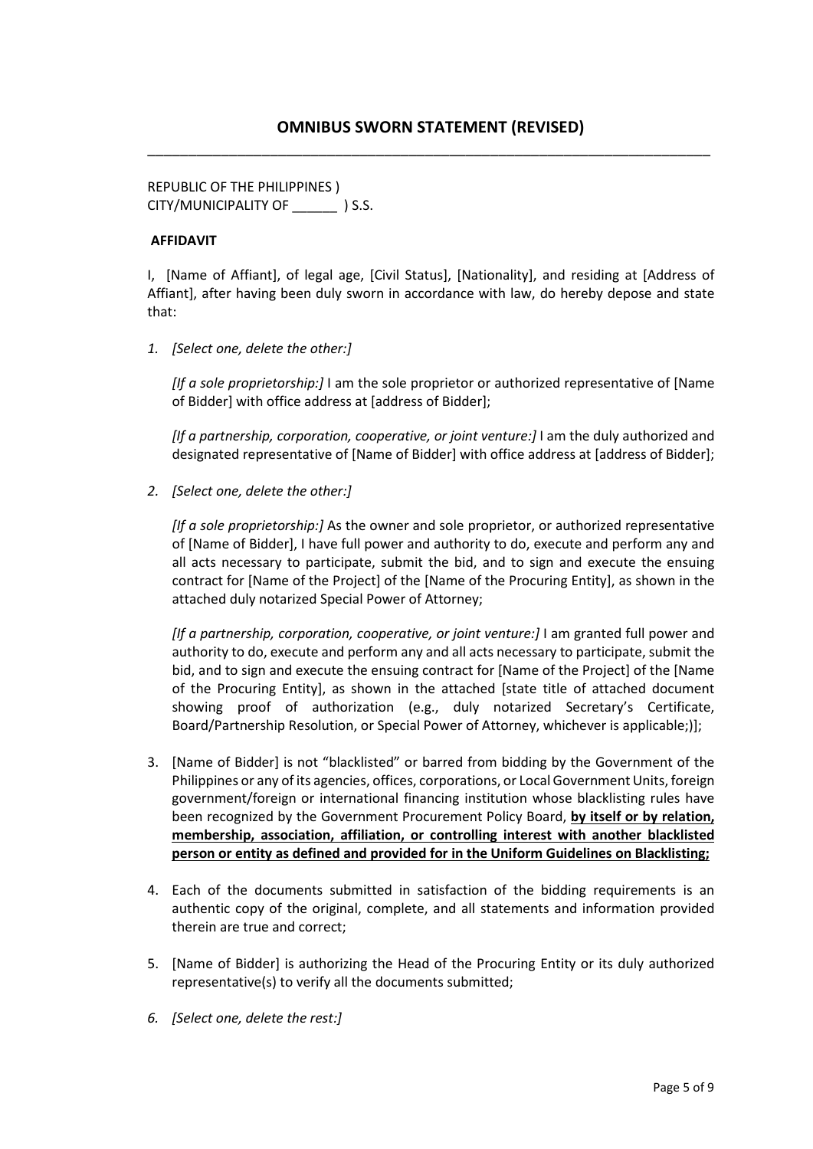REPUBLIC OF THE PHILIPPINES ) CITY/MUNICIPALITY OF \_\_\_\_\_\_ ) S.S.

#### **AFFIDAVIT**

I, [Name of Affiant], of legal age, [Civil Status], [Nationality], and residing at [Address of Affiant], after having been duly sworn in accordance with law, do hereby depose and state that:

*1. [Select one, delete the other:]*

*[If a sole proprietorship:]* I am the sole proprietor or authorized representative of [Name of Bidder] with office address at [address of Bidder];

*IIf a partnership, corporation, cooperative, or joint venture:]* I am the duly authorized and designated representative of [Name of Bidder] with office address at [address of Bidder];

*2. [Select one, delete the other:]*

*[If a sole proprietorship:]* As the owner and sole proprietor, or authorized representative of [Name of Bidder], I have full power and authority to do, execute and perform any and all acts necessary to participate, submit the bid, and to sign and execute the ensuing contract for [Name of the Project] of the [Name of the Procuring Entity], as shown in the attached duly notarized Special Power of Attorney;

*[If a partnership, corporation, cooperative, or joint venture:]* I am granted full power and authority to do, execute and perform any and all acts necessary to participate, submit the bid, and to sign and execute the ensuing contract for [Name of the Project] of the [Name of the Procuring Entity], as shown in the attached [state title of attached document showing proof of authorization (e.g., duly notarized Secretary's Certificate, Board/Partnership Resolution, or Special Power of Attorney, whichever is applicable;)];

- 3. [Name of Bidder] is not "blacklisted" or barred from bidding by the Government of the Philippines or any of its agencies, offices, corporations, or Local Government Units, foreign government/foreign or international financing institution whose blacklisting rules have been recognized by the Government Procurement Policy Board, **by itself or by relation, membership, association, affiliation, or controlling interest with another blacklisted person or entity as defined and provided for in the Uniform Guidelines on Blacklisting;**
- 4. Each of the documents submitted in satisfaction of the bidding requirements is an authentic copy of the original, complete, and all statements and information provided therein are true and correct;
- 5. [Name of Bidder] is authorizing the Head of the Procuring Entity or its duly authorized representative(s) to verify all the documents submitted;
- *6. [Select one, delete the rest:]*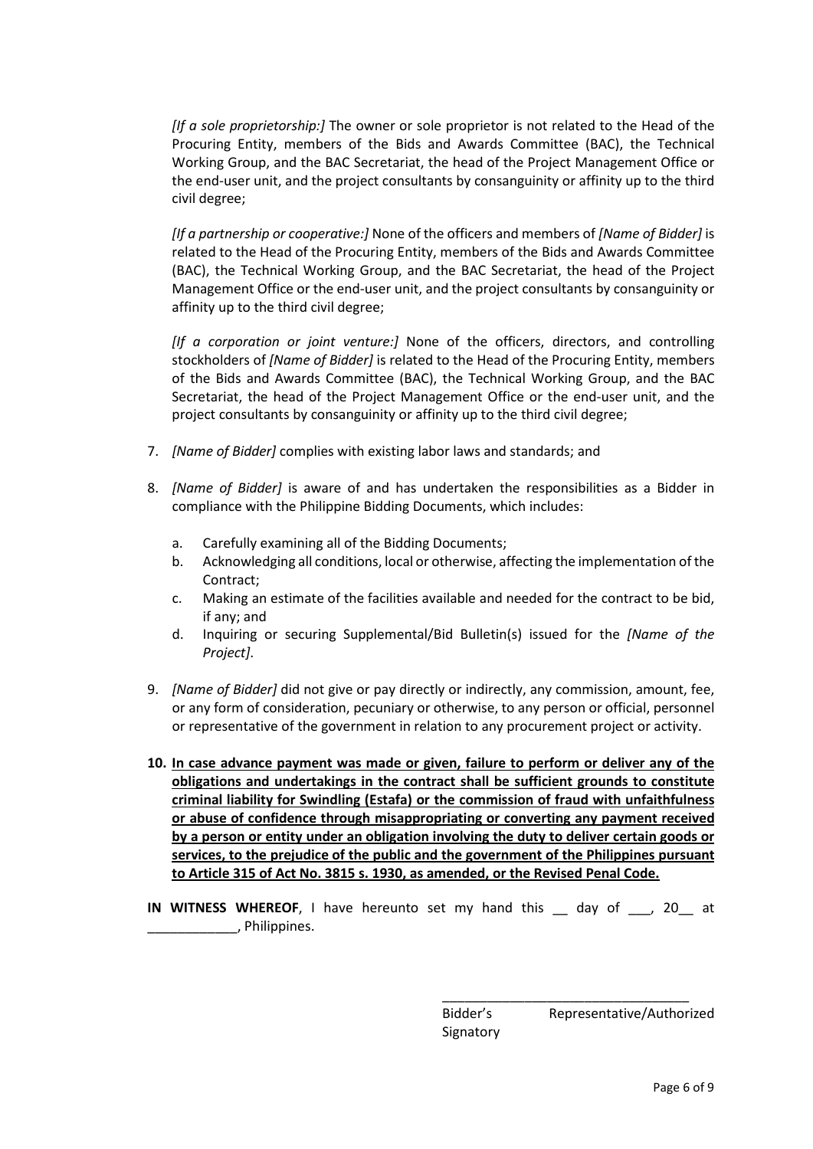*[If a sole proprietorship:]* The owner or sole proprietor is not related to the Head of the Procuring Entity, members of the Bids and Awards Committee (BAC), the Technical Working Group, and the BAC Secretariat, the head of the Project Management Office or the end-user unit, and the project consultants by consanguinity or affinity up to the third civil degree;

*[If a partnership or cooperative:]* None of the officers and members of *[Name of Bidder]* is related to the Head of the Procuring Entity, members of the Bids and Awards Committee (BAC), the Technical Working Group, and the BAC Secretariat, the head of the Project Management Office or the end-user unit, and the project consultants by consanguinity or affinity up to the third civil degree;

*[If a corporation or joint venture:]* None of the officers, directors, and controlling stockholders of *[Name of Bidder]* is related to the Head of the Procuring Entity, members of the Bids and Awards Committee (BAC), the Technical Working Group, and the BAC Secretariat, the head of the Project Management Office or the end-user unit, and the project consultants by consanguinity or affinity up to the third civil degree;

- 7. *[Name of Bidder]* complies with existing labor laws and standards; and
- 8. *[Name of Bidder]* is aware of and has undertaken the responsibilities as a Bidder in compliance with the Philippine Bidding Documents, which includes:
	- a. Carefully examining all of the Bidding Documents;
	- b. Acknowledging all conditions, local or otherwise, affecting the implementation of the Contract;
	- c. Making an estimate of the facilities available and needed for the contract to be bid, if any; and
	- d. Inquiring or securing Supplemental/Bid Bulletin(s) issued for the *[Name of the Project]*.
- 9. *[Name of Bidder]* did not give or pay directly or indirectly, any commission, amount, fee, or any form of consideration, pecuniary or otherwise, to any person or official, personnel or representative of the government in relation to any procurement project or activity.
- **10. In case advance payment was made or given, failure to perform or deliver any of the obligations and undertakings in the contract shall be sufficient grounds to constitute criminal liability for Swindling (Estafa) or the commission of fraud with unfaithfulness or abuse of confidence through misappropriating or converting any payment received by a person or entity under an obligation involving the duty to deliver certain goods or services, to the prejudice of the public and the government of the Philippines pursuant to Article 315 of Act No. 3815 s. 1930, as amended, or the Revised Penal Code.**
- **IN WITNESS WHEREOF**, I have hereunto set my hand this \_\_ day of \_\_\_, 20\_\_ at \_\_\_\_\_\_\_\_\_\_\_\_, Philippines.

Bidder's Representative/Authorized **Signatory** 

\_\_\_\_\_\_\_\_\_\_\_\_\_\_\_\_\_\_\_\_\_\_\_\_\_\_\_\_\_\_\_\_\_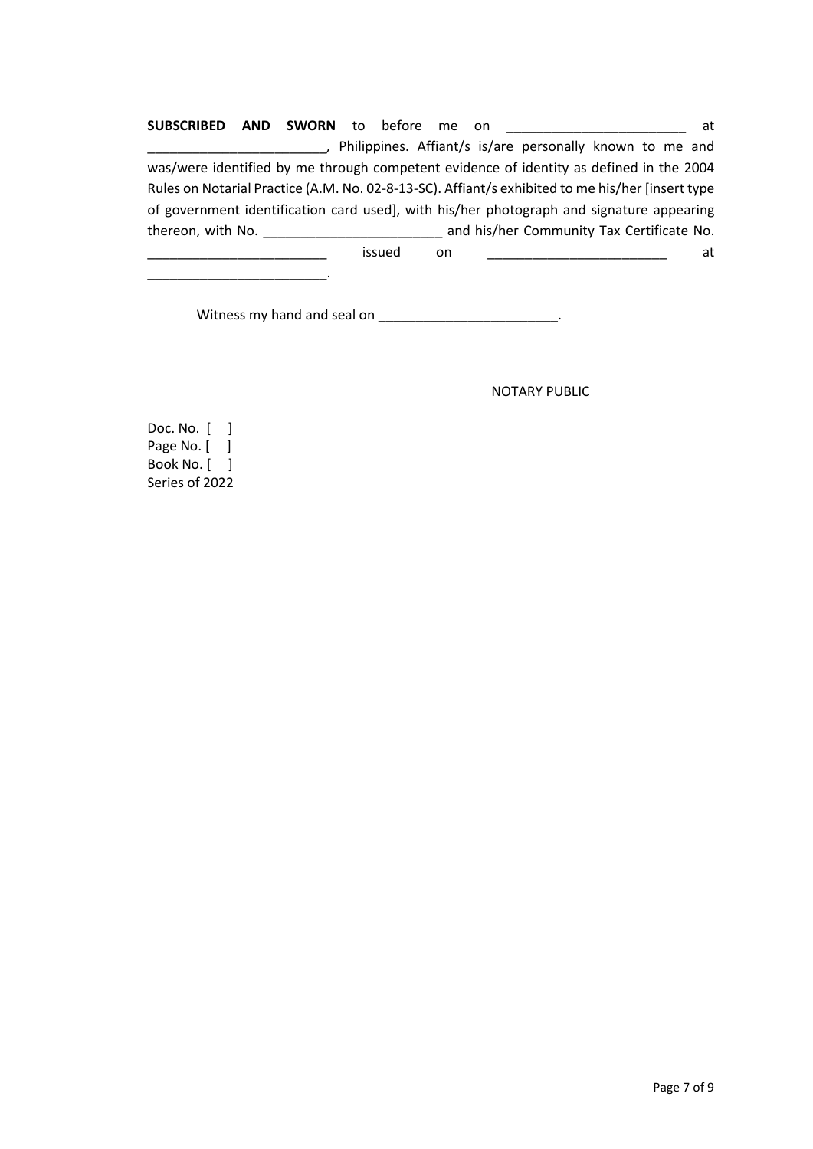**SUBSCRIBED AND SWORN** to before me on \_\_\_\_\_\_\_\_\_\_\_\_\_\_\_\_\_\_\_\_\_\_\_\_ at \_\_\_\_\_\_\_\_\_\_\_\_\_\_\_\_\_\_\_\_\_\_\_\_*,* Philippines. Affiant/s is/are personally known to me and was/were identified by me through competent evidence of identity as defined in the 2004 Rules on Notarial Practice (A.M. No. 02-8-13-SC). Affiant/s exhibited to me his/her [insert type of government identification card used], with his/her photograph and signature appearing thereon, with No. \_\_\_\_\_\_\_\_\_\_\_\_\_\_\_\_\_\_\_\_\_\_\_\_ and his/her Community Tax Certificate No. issued on \_\_\_\_\_\_\_\_\_\_\_\_\_\_\_\_\_\_\_\_\_\_ at

Witness my hand and seal on \_\_\_\_\_\_\_\_\_\_\_\_\_\_\_\_\_\_\_\_\_\_\_\_\_.

NOTARY PUBLIC

Doc. No. [ ] Page No. [ ] Book No. [ ] Series of 2022

\_\_\_\_\_\_\_\_\_\_\_\_\_\_\_\_\_\_\_\_\_\_\_\_.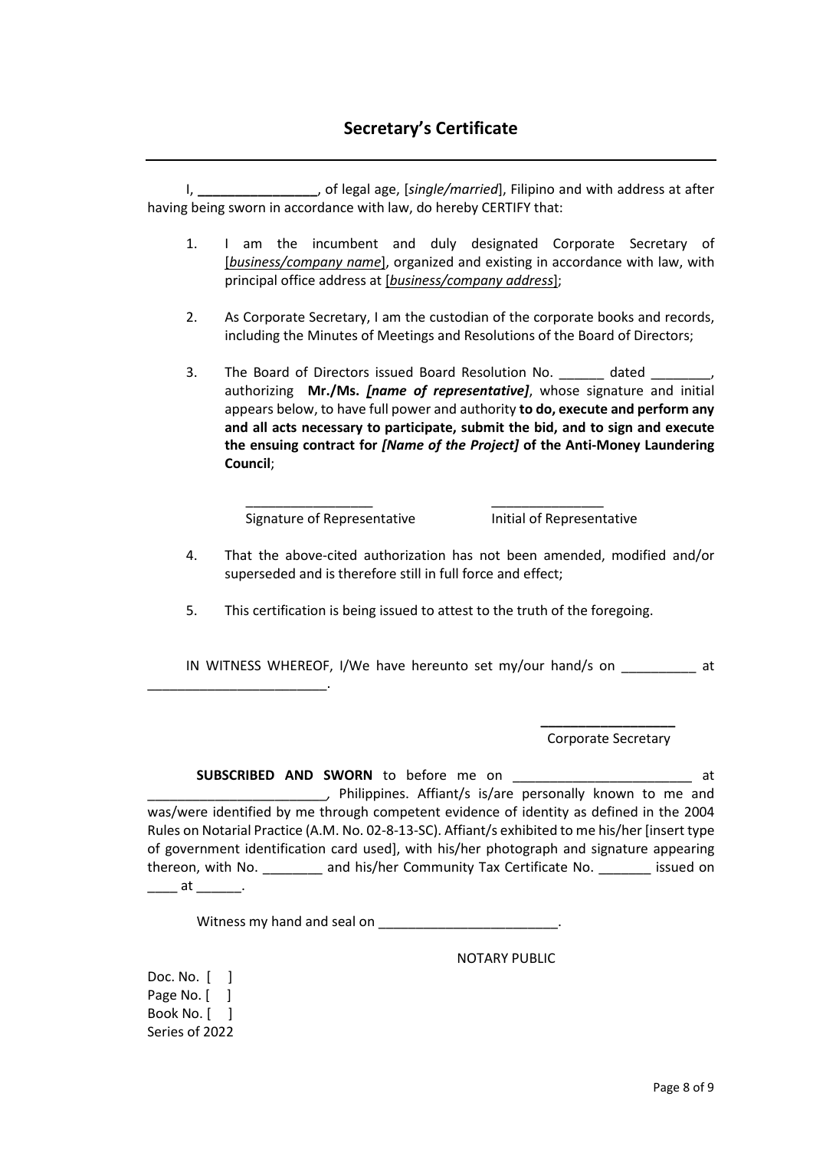I, **\_\_\_\_\_\_\_\_\_\_\_\_\_\_\_\_**, of legal age, [*single/married*], Filipino and with address at after having being sworn in accordance with law, do hereby CERTIFY that:

- 1. I am the incumbent and duly designated Corporate Secretary of [*business/company name*], organized and existing in accordance with law, with principal office address at [*business/company address*];
- 2. As Corporate Secretary, I am the custodian of the corporate books and records, including the Minutes of Meetings and Resolutions of the Board of Directors;
- 3. The Board of Directors issued Board Resolution No. \_\_\_\_\_\_ dated \_\_ authorizing **Mr./Ms.** *[name of representative]*, whose signature and initial appears below, to have full power and authority **to do, execute and perform any and all acts necessary to participate, submit the bid, and to sign and execute the ensuing contract for** *[Name of the Project]* **of the Anti-Money Laundering Council**;

Signature of Representative **Initial of Representative** 

- 4. That the above-cited authorization has not been amended, modified and/or superseded and is therefore still in full force and effect;
- 5. This certification is being issued to attest to the truth of the foregoing.

\_\_\_\_\_\_\_\_\_\_\_\_\_\_\_\_\_ \_\_\_\_\_\_\_\_\_\_\_\_\_\_\_

IN WITNESS WHEREOF, I/We have hereunto set my/our hand/s on \_\_\_\_\_\_\_\_\_\_ at

**\_\_\_\_\_\_\_\_\_\_\_\_\_\_\_\_\_\_** Corporate Secretary

**SUBSCRIBED AND SWORN** to before me on \_\_\_\_\_\_\_\_\_\_\_\_\_\_\_\_\_\_\_\_\_\_\_\_ at \_\_\_\_\_\_\_\_\_\_\_\_\_\_\_\_\_\_\_\_\_\_\_\_*,* Philippines. Affiant/s is/are personally known to me and was/were identified by me through competent evidence of identity as defined in the 2004 Rules on Notarial Practice (A.M. No. 02-8-13-SC). Affiant/s exhibited to me his/her [insert type of government identification card used], with his/her photograph and signature appearing thereon, with No. \_\_\_\_\_\_\_\_ and his/her Community Tax Certificate No. \_\_\_\_\_\_\_ issued on \_\_\_\_\_ at \_\_\_\_\_\_\_.

Witness my hand and seal on **EXALLER** 

NOTARY PUBLIC

Doc. No. [ ] Page No. [ ] Book No. [ ] Series of 2022

\_\_\_\_\_\_\_\_\_\_\_\_\_\_\_\_\_\_\_\_\_\_\_\_.